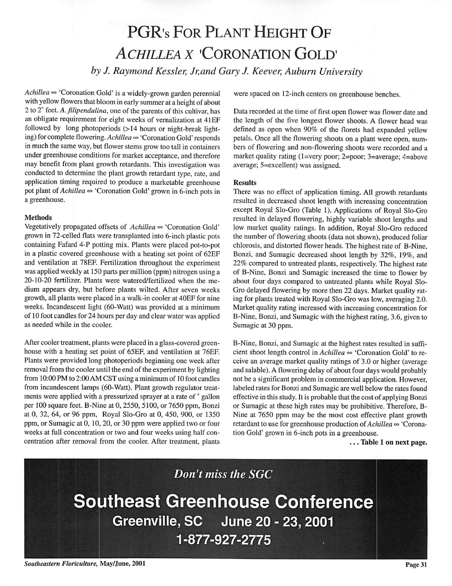## PGR's FOR PLANT HEIGHT OF **ACHILLEA X 'CORONATION GOLD'**

**by J. Raymond Kessler, Jr,and Gary J. Keever, Auburn University**

 $Achillea \approx 'Coronation Gold'$  is a widely-grown garden perennial with yellow flowers that bloom in early summer at a height of about 2 to2°feet. **A.** *filipendulina,* oneof the parents of thiscultivar, has an obligate requirement for eight weeks of vernalization at 41EF followed by long photoperiods (>14 hours or night-break light ing) forcomplete flowering. **Achillea °°**'Coronation Gold'responds in much the same way, but flower stems grow too tall in containers under greenhouse conditions for market acceptance, and therefore may benefit from plant growth retardants. This investigation was conducted to determine the plant growth retardant type, rate, and application timing required to produce a marketable greenhouse pot plant of *Achillea*  $\infty$  'Coronation Gold' grown in 6-inch pots in a greenhouse.

## *Methods*

Vegetatively propagated offsets of Achillea  $\infty$  'Coronation Gold' grown in 72-celled flats were transplanted into 6-inch plastic pots containing Fafard 4-P potting mix. Plants were placed pot-to-pot in a plastic covered greenhouse with a heating set point of 62EF and ventilation at 78EF. Fertilization throughout the experiment was applied weekly at 150 parts per million (ppm) nitrogen using a 20-10-20 fertilizer. Plants were watered/fertilized when the me dium appears dry, but before plants wilted. After seven weeks growth, all plants were placed in a walk-in cooler at 40EF for nine weeks. Incandescent light (60-Watt) was provided at a minimum of 10 foot candles for 24 hours per day and clear water was applied as needed while in the cooler.

After cooler treatment, plants were placed in a glass-covered green house with a heating set point of 65EF, and ventilation at 76EF Plants were provided long photoperiods beginning one week after removal from the cooler until the end of the experiment by lighting from 10:00 PM to 2:00 AM CST using a minimum of 10 foot candles from incandescent lamps (60-Watt). Plant growth regulator treat ments were applied with a pressurized sprayer at a rate of ° gallon per 100 square feet. B-Nine at 0, 2550, 5100, or 7650 ppm, Bonzi at 0, 32, 64, or 96 ppm, Royal Slo-Gro at 0, 450, 900, or 1350 ppm, or Sumagic at 0, 10, 20, or 30 ppm were applied two or four weeks at full concentration or two and four weeks using half con centration after removal from the cooler. After treatment, plants

were spaced on 12-inch centers on greenhouse benches.

Data recorded at the time of first open flower was flower date and the length of the five longest flower shoots. A flower head was defined as open when 90% of the florets had expanded yellow petals. Once all the flowering shoots on a plant were open, num bers of flowering and non-flowering shoots were recorded and a market quality rating (1=very poor; 2=poor; 3=average; 4=above average; 5=excellent) was assigned.

## *Results*

There was no effect of application timing. All growth retardants resulted in decreased shoot length with increasing concentration except Royal Slo-Gro (Table 1). Applications of Royal Slo-Gro resulted in delayed flowering, highly variable shoot lengths and low market quality ratings. In addition, Royal Slo-Gro reduced the number of flowering shoots (data not shown), produced foliar chlorosis, and distorted flower heads. The highest rate of B-Nine, Bonzi, and Sumagic decreased shoot length by 32%, 19%, and 22% compared to untreated plants, respectively. The highest rate of B-Nine, Bonzi and Sumagic increased the time to flower by about four days compared to untreated plants while Royal Slo-Gro delayed flowering by more then 22 days. Market quality rat ing for plants treated with Royal Slo-Gro was low, averaging 2.0. Market quality rating increased with increasing concentration for B-Nine, Bonzi, and Sumagic with the highest rating, 3.6, given to Sumagic at 30 ppm.

B-Nine, Bonzi, and Sumagic at the highest rates resulted in suffi cient shoot length control in *Achillea*  $\infty$  'Coronation Gold' to receive an average market quality ratings of 3.0 or higher (average and salable). A flowering delay of about four days would probably not be a significant problem in commercial application. However, labeled rates for Bonzi and Sumagic are well below the rates found effective in this study. It is probable that the cost of applying Bonzi or Sumagic at these high rates may be prohibitive. Therefore, B-Nine at 7650 ppm may be the most cost effective plant growth retardant to use for greenhouse production of **Achillea °°** 'Corona tion Gold' grown in 6-inch pots in a greenhouse.

... *Table <sup>1</sup> on next page.*